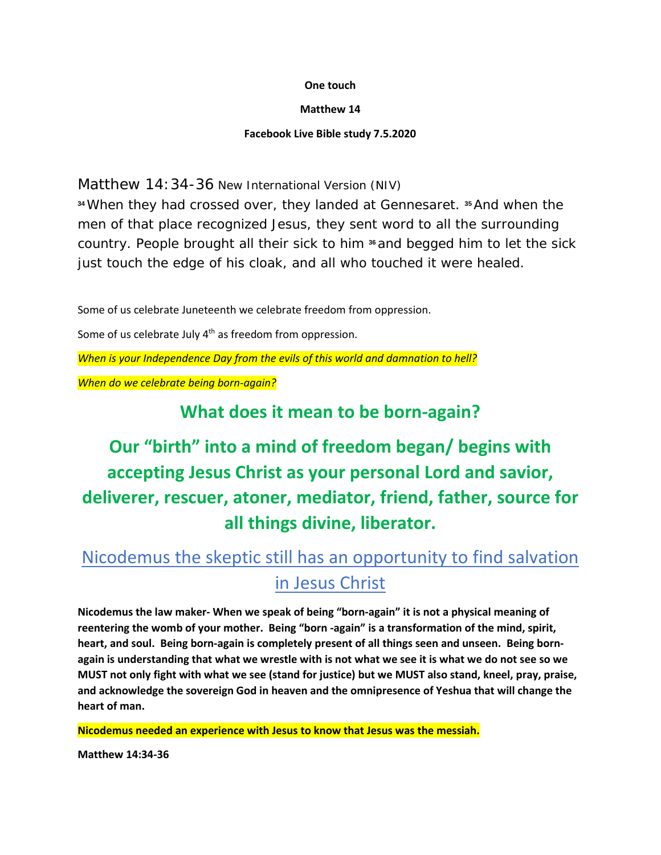#### **One touch**

#### **Matthew 14**

#### **Facebook Live Bible study 7.5.2020**

Matthew 14:34-36 New International Version (NIV)

**<sup>34</sup>**When they had crossed over, they landed at Gennesaret. **<sup>35</sup>**And when the men of that place recognized Jesus, they sent word to all the surrounding country. People brought all their sick to him **<sup>36</sup>**and begged him to let the sick just touch the edge of his cloak, and all who touched it were healed.

Some of us celebrate Juneteenth we celebrate freedom from oppression.

Some of us celebrate July  $4<sup>th</sup>$  as freedom from oppression.

*When is your Independence Day from the evils of this world and damnation to hell?*

*When do we celebrate being born-again?*

### **What does it mean to be born-again?**

# **Our "birth" into a mind of freedom began/ begins with accepting Jesus Christ as your personal Lord and savior, deliverer, rescuer, atoner, mediator, friend, father, source for all things divine, liberator.**

# Nicodemus the skeptic still has an opportunity to find salvation in Jesus Christ

**Nicodemus the law maker- When we speak of being "born-again" it is not a physical meaning of reentering the womb of your mother. Being "born -again" is a transformation of the mind, spirit, heart, and soul. Being born-again is completely present of all things seen and unseen. Being bornagain is understanding that what we wrestle with is not what we see it is what we do not see so we MUST not only fight with what we see (stand for justice) but we MUST also stand, kneel, pray, praise, and acknowledge the sovereign God in heaven and the omnipresence of Yeshua that will change the heart of man.** 

**Nicodemus needed an experience with Jesus to know that Jesus was the messiah.**

**Matthew 14:34-36**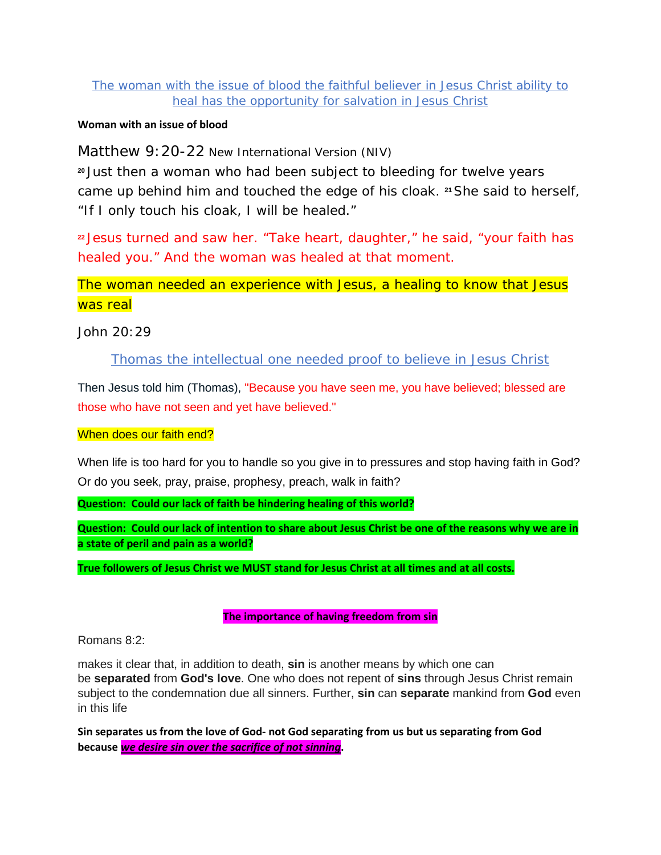#### The woman with the issue of blood the faithful believer in Jesus Christ ability to heal has the opportunity for salvation in Jesus Christ

#### **Woman with an issue of blood**

Matthew 9:20-22 New International Version (NIV)

**<sup>20</sup>** Just then a woman who had been subject to bleeding for twelve years came up behind him and touched the edge of his cloak. **<sup>21</sup>**She said to herself, "If I only touch his cloak, I will be healed."

**<sup>22</sup>** Jesus turned and saw her. "Take heart, daughter," he said, "your faith has healed you." And the woman was healed at that moment.

### The woman needed an experience with Jesus, a healing to know that Jesus was real

John 20:29

#### Thomas the intellectual one needed proof to believe in Jesus Christ

Then Jesus told him (Thomas), "Because you have seen me, you have believed; blessed are those who have not seen and yet have believed."

#### When does our faith end?

When life is too hard for you to handle so you give in to pressures and stop having faith in God? Or do you seek, pray, praise, prophesy, preach, walk in faith?

**Question: Could our lack of faith be hindering healing of this world?** 

**Question: Could our lack of intention to share about Jesus Christ be one of the reasons why we are in a state of peril and pain as a world?**

**True followers of Jesus Christ we MUST stand for Jesus Christ at all times and at all costs.** 

#### **The importance of having freedom from sin**

Romans 8:2:

makes it clear that, in addition to death, **sin** is another means by which one can be **separated** from **God's love**. One who does not repent of **sins** through Jesus Christ remain subject to the condemnation due all sinners. Further, **sin** can **separate** mankind from **God** even in this life

**Sin separates us from the love of God- not God separating from us but us separating from God because** *we desire sin over the sacrifice of not sinning***.**